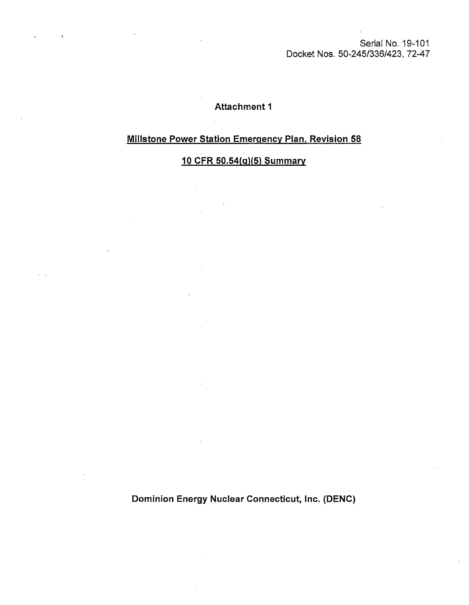Serial No. 19-101 Docket Nos. 50-245/336/423, 72-47

#### **Attachment 1**

## **Millstone Power Station Emergency Plan, Revision 58**

# **10 CFR 50.54(q)(5) Summary**

**Dominion Energy Nuclear Connecticut, Inc. (DENC)**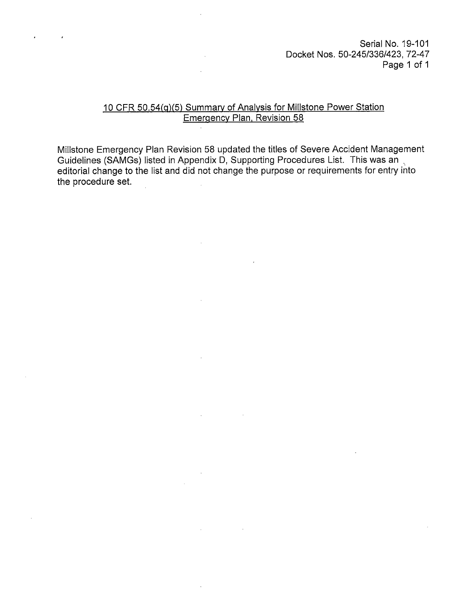Serial No. 19-101 Docket Nos. 50-245/336/423, 72-47 Page 1 of 1

#### 10 CFR 50.54(q)(5) Summary of Analysis for Millstone Power Station Emergency Plan, Revision 58

Millstone Emergency Plan Revision 58 updated the titles of Severe Accident Management Guidelines (SAMGs) listed in Appendix D, Supporting Procedures List. This was an editorial change to the list and did not change the purpose or requirements for entry into the procedure set.

 $\mathcal{L}$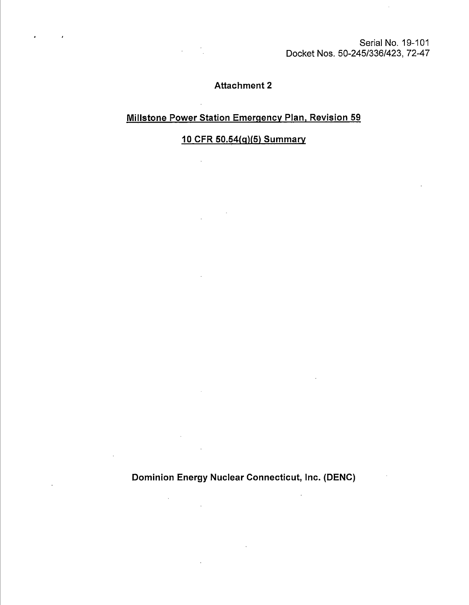Serial No. 19-101 Docket Nos. 50-245/336/423, 72-47

## **Attachment 2**

### **Millstone Power Station Emergency Plan, Revision 59**

**10 CFR 50.54(q)(5) Summary** 

 $\mathcal{L}$ 

**Dominion Energy Nuclear Connecticut, Inc. (DENC)** 

 $\ddot{\phantom{a}}$ 

 $\mathcal{L}$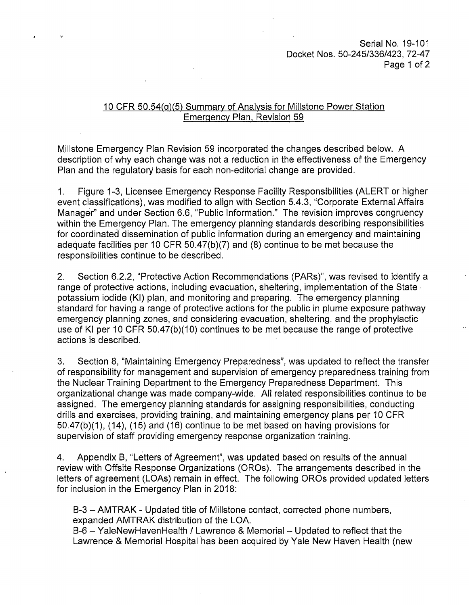Serial No. 19-101 Docket Nos. 50-245/336/423, 72-47 Page 1 of 2

#### 10 CFR 50.54(g)(5) Summary of Analysis for Millstone Power Station Emergency Plan, Revision 59

Millstone Emergency Plan Revision 59 incorporated the changes described below. A description of why each change was not a reduction in the effectiveness of the Emergency Plan and the regulatory basis for each non-editorial change are provided.

1. Figure 1-3, Licensee Emergency Response Facility Responsibilities (ALERT or higher event classifications), was modified to align with Section 5.4.3, "Corporate External Affairs Manager" and under Section 6.6, "Public Information." The revision improves congruency within the Emergency Plan. The emergency planning standards describing responsibilities for coordinated dissemination of public information during an emergency and maintaining adequate facilities per 10 CFR 50.47(b)(7) and (8) continue to be met because the responsibilities continue to be described.

2. Section 6.2.2, "Protective Action Recommendations (PARs)", was revised to identify a range of protective actions, including evacuation, sheltering, implementation of the State· potassium iodide (Kl) plan, and monitoring and preparing. The emergency planning standard for having a range of protective actions for the public in plume exposure pathway emergency planning zones, and considering evacuation, sheltering, and the prophylactic use of Kl per 10 CFR 50.47(b)(10) continues to be met because the range of protective actions is described.

3. Section 8, "Maintaining Emergency Preparedness", was updated to reflect the transfer of responsibility for management and supervision of emergency preparedness training from the Nuclear Training Department to the Emergency Preparedness Department. This organizational change was made company-wide. All related responsibilities continue to be assigned. The emergency planning standards for assigning responsibilities, conducting drills and exercises, providing training, and maintaining emergency plans per 10 CFR 50.47(b)(1), (14), (15) and (16) continue to be met based on having provisions for supervision of staff providing emergency response organization training.

4. Appendix B, "Letters of Agreement", was updated based on results of the annual review with Offsite Response Organizations (OROs). The arrangements described in the letters of agreement (LOAs) remain in effect. The following OROs provided updated letters for inclusion in the Emergency Plan in 2018:

B-3 - AMTRAK - Updated title of Millstone contact, corrected phone numbers, expanded AMTRAK distribution of the LOA.

B-6 - YaleNewHavenHealth / Lawrence & Memorial - Updated to reflect that the Lawrence & Memorial Hospital has been acquired by Yale New Haven Health (new